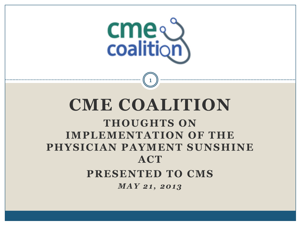

# **CME COALITION**

1

#### **THOUGHTS ON IMPLEMENTATION OF THE PHYSICIAN PAYMENT SUNSHINE ACT PRESENTED TO CMS**  *MAY 21, 2013*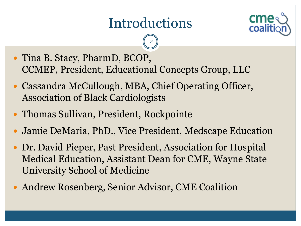# Introductions



- Tina B. Stacy, PharmD, BCOP, CCMEP, President, Educational Concepts Group, LLC
- Cassandra McCullough, MBA, Chief Operating Officer, Association of Black Cardiologists
- Thomas Sullivan, President, Rockpointe
- Jamie DeMaria, PhD., Vice President, Medscape Education
- Dr. David Pieper, Past President, Association for Hospital Medical Education, Assistant Dean for CME, Wayne State University School of Medicine
- Andrew Rosenberg, Senior Advisor, CME Coalition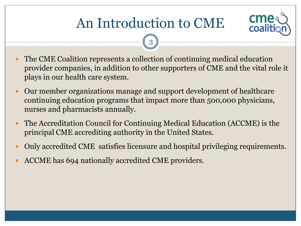



- The CME Coalition represents a collection of continuing medical education provider companies, in addition to other supporters of CME and the vital role it plays in our health care system.
- Our member organizations manage and support development of healthcare continuing education programs that impact more than 500,000 physicians, nurses and pharmacists annually.
- The Accreditation Council for Continuing Medical Education (ACCME) is the principal CME accrediting authority in the United States.
- Only accredited CME satisfies licensure and hospital privileging requirements.
- ACCME has 694 nationally accredited CME providers.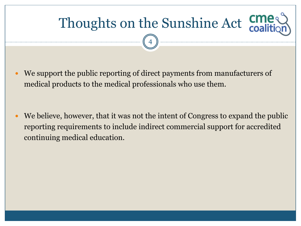# Thoughts on the Sunshine Act C

 We support the public reporting of direct payments from manufacturers of medical products to the medical professionals who use them.

4

 We believe, however, that it was not the intent of Congress to expand the public reporting requirements to include indirect commercial support for accredited continuing medical education.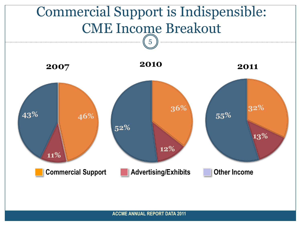

**ACCME ANNUAL REPORT DATA 2011**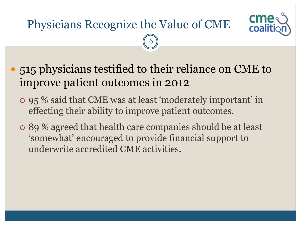### Physicians Recognize the Value of CME



- 95 % said that CME was at least 'moderately important' in effecting their ability to improve patient outcomes.
- 89 % agreed that health care companies should be at least 'somewhat' encouraged to provide financial support to underwrite accredited CME activities.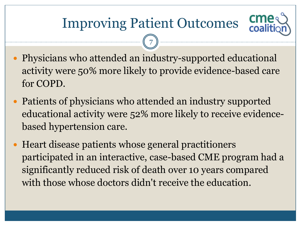# Improving Patient Outcomes

- Physicians who attended an industry-supported educational activity were 50% more likely to provide evidence-based care for COPD.
- Patients of physicians who attended an industry supported educational activity were 52% more likely to receive evidencebased hypertension care.
- Heart disease patients whose general practitioners participated in an interactive, case-based CME program had a significantly reduced risk of death over 10 years compared with those whose doctors didn't receive the education.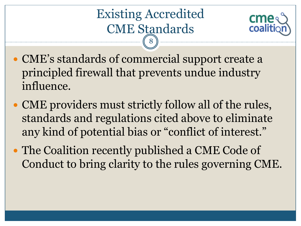#### Existing Accredited CME Standards 8



- CME's standards of commercial support create a principled firewall that prevents undue industry influence.
- CME providers must strictly follow all of the rules, standards and regulations cited above to eliminate any kind of potential bias or "conflict of interest."
- The Coalition recently published a CME Code of Conduct to bring clarity to the rules governing CME.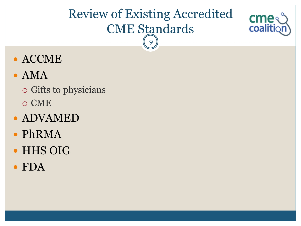# Review of Existing Accredited CME Standards

**cmes** 

coalit

9

• ACCME

### • AMA

- Gifts to physicians
- o CME
- ADVAMED
- PhRMA
- · HHS OIG
- FDA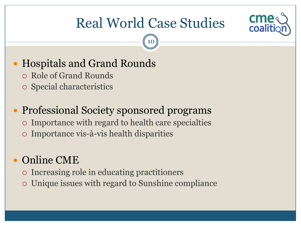# Real World Case Studies

10



#### Hospitals and Grand Rounds

- Role of Grand Rounds
- Special characteristics

#### • Professional Society sponsored programs Importance with regard to health care specialties

Importance vis-à-vis health disparities

### Online CME

- Increasing role in educating practitioners
- Unique issues with regard to Sunshine compliance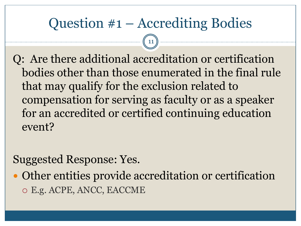# Question #1 – Accrediting Bodies

11

Q: Are there additional accreditation or certification bodies other than those enumerated in the final rule that may qualify for the exclusion related to compensation for serving as faculty or as a speaker for an accredited or certified continuing education event?

#### Suggested Response: Yes.

 Other entities provide accreditation or certification E.g. ACPE, ANCC, EACCME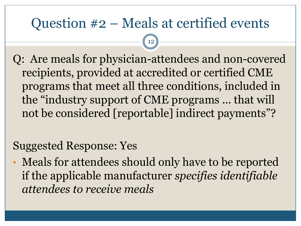## Question #2 – Meals at certified events

12

Q: Are meals for physician-attendees and non-covered recipients, provided at accredited or certified CME programs that meet all three conditions, included in the "industry support of CME programs ... that will not be considered [reportable] indirect payments"?

#### Suggested Response: Yes

• Meals for attendees should only have to be reported if the applicable manufacturer *specifies identifiable attendees to receive meals*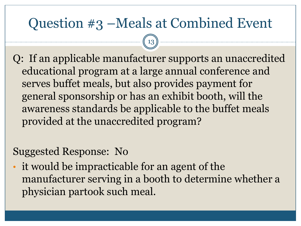# Question #3 –Meals at Combined Event

13

Q: If an applicable manufacturer supports an unaccredited educational program at a large annual conference and serves buffet meals, but also provides payment for general sponsorship or has an exhibit booth, will the awareness standards be applicable to the buffet meals provided at the unaccredited program?

#### Suggested Response: No

• it would be impracticable for an agent of the manufacturer serving in a booth to determine whether a physician partook such meal.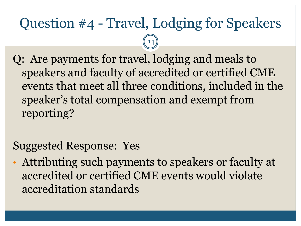# Question #4 - Travel, Lodging for Speakers

14

Q: Are payments for travel, lodging and meals to speakers and faculty of accredited or certified CME events that meet all three conditions, included in the speaker's total compensation and exempt from reporting?

#### Suggested Response: Yes

• Attributing such payments to speakers or faculty at accredited or certified CME events would violate accreditation standards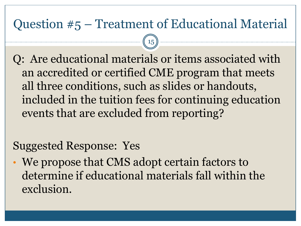### Question #5 – Treatment of Educational Material

15

Q: Are educational materials or items associated with an accredited or certified CME program that meets all three conditions, such as slides or handouts, included in the tuition fees for continuing education events that are excluded from reporting?

#### Suggested Response: Yes

• We propose that CMS adopt certain factors to determine if educational materials fall within the exclusion.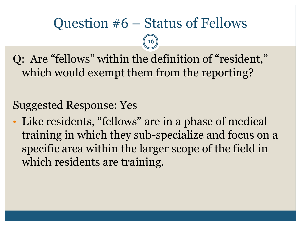# Question #6 – Status of Fellows

16

Q: Are "fellows" within the definition of "resident," which would exempt them from the reporting?

Suggested Response: Yes

• Like residents, "fellows" are in a phase of medical training in which they sub-specialize and focus on a specific area within the larger scope of the field in which residents are training.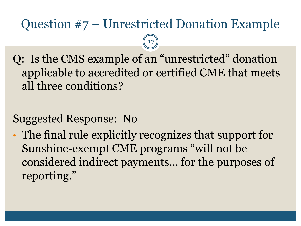### Question #7 – Unrestricted Donation Example

17

Q: Is the CMS example of an "unrestricted" donation applicable to accredited or certified CME that meets all three conditions?

#### Suggested Response: No

• The final rule explicitly recognizes that support for Sunshine-exempt CME programs "will not be considered indirect payments... for the purposes of reporting."